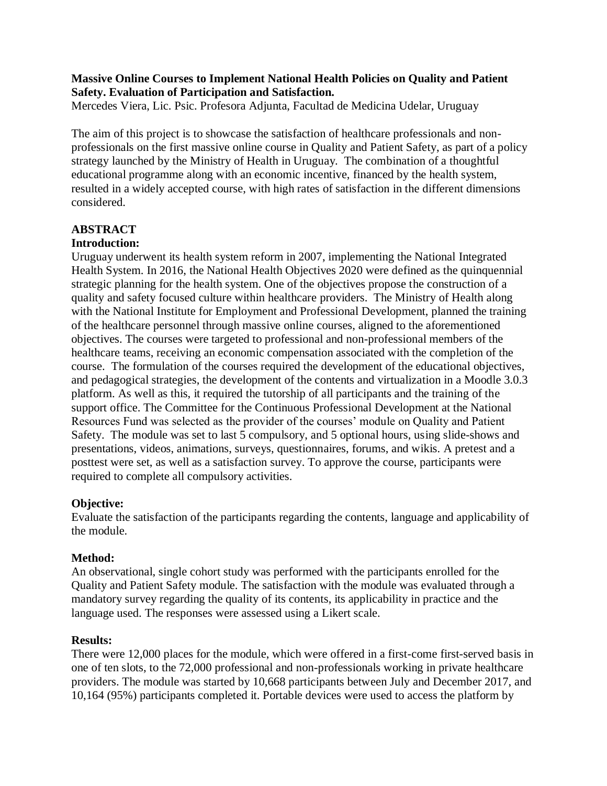### **Massive Online Courses to Implement National Health Policies on Quality and Patient Safety. Evaluation of Participation and Satisfaction.**

Mercedes Viera, Lic. Psic. Profesora Adjunta, Facultad de Medicina Udelar, Uruguay

The aim of this project is to showcase the satisfaction of healthcare professionals and nonprofessionals on the first massive online course in Quality and Patient Safety, as part of a policy strategy launched by the Ministry of Health in Uruguay. The combination of a thoughtful educational programme along with an economic incentive, financed by the health system, resulted in a widely accepted course, with high rates of satisfaction in the different dimensions considered.

# **ABSTRACT**

# **Introduction:**

Uruguay underwent its health system reform in 2007, implementing the National Integrated Health System. In 2016, the National Health Objectives 2020 were defined as the quinquennial strategic planning for the health system. One of the objectives propose the construction of a quality and safety focused culture within healthcare providers. The Ministry of Health along with the National Institute for Employment and Professional Development, planned the training of the healthcare personnel through massive online courses, aligned to the aforementioned objectives. The courses were targeted to professional and non-professional members of the healthcare teams, receiving an economic compensation associated with the completion of the course. The formulation of the courses required the development of the educational objectives, and pedagogical strategies, the development of the contents and virtualization in a Moodle 3.0.3 platform. As well as this, it required the tutorship of all participants and the training of the support office. The Committee for the Continuous Professional Development at the National Resources Fund was selected as the provider of the courses' module on Quality and Patient Safety. The module was set to last 5 compulsory, and 5 optional hours, using slide-shows and presentations, videos, animations, surveys, questionnaires, forums, and wikis. A pretest and a posttest were set, as well as a satisfaction survey. To approve the course, participants were required to complete all compulsory activities.

# **Objective:**

Evaluate the satisfaction of the participants regarding the contents, language and applicability of the module.

#### **Method:**

An observational, single cohort study was performed with the participants enrolled for the Quality and Patient Safety module. The satisfaction with the module was evaluated through a mandatory survey regarding the quality of its contents, its applicability in practice and the language used. The responses were assessed using a Likert scale.

#### **Results:**

There were 12,000 places for the module, which were offered in a first-come first-served basis in one of ten slots, to the 72,000 professional and non-professionals working in private healthcare providers. The module was started by 10,668 participants between July and December 2017, and 10,164 (95%) participants completed it. Portable devices were used to access the platform by